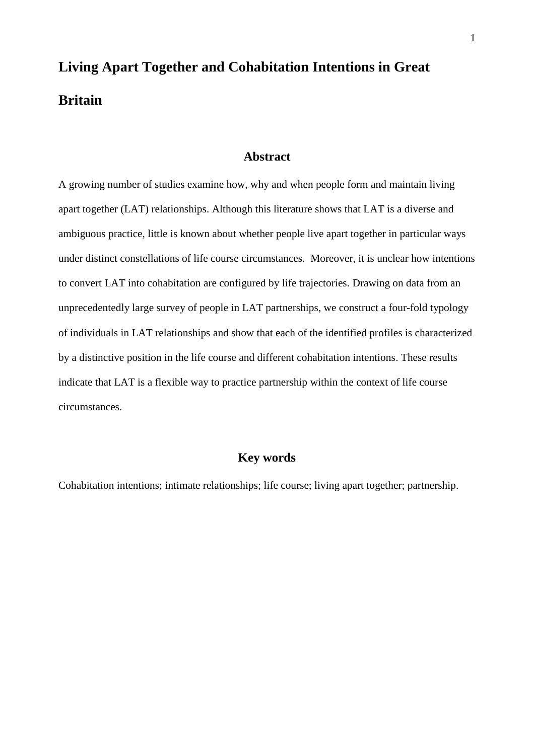# **Living Apart Together and Cohabitation Intentions in Great Britain**

## **Abstract**

A growing number of studies examine how, why and when people form and maintain living apart together (LAT) relationships. Although this literature shows that LAT is a diverse and ambiguous practice, little is known about whether people live apart together in particular ways under distinct constellations of life course circumstances. Moreover, it is unclear how intentions to convert LAT into cohabitation are configured by life trajectories. Drawing on data from an unprecedentedly large survey of people in LAT partnerships, we construct a four-fold typology of individuals in LAT relationships and show that each of the identified profiles is characterized by a distinctive position in the life course and different cohabitation intentions. These results indicate that LAT is a flexible way to practice partnership within the context of life course circumstances.

## **Key words**

Cohabitation intentions; intimate relationships; life course; living apart together; partnership.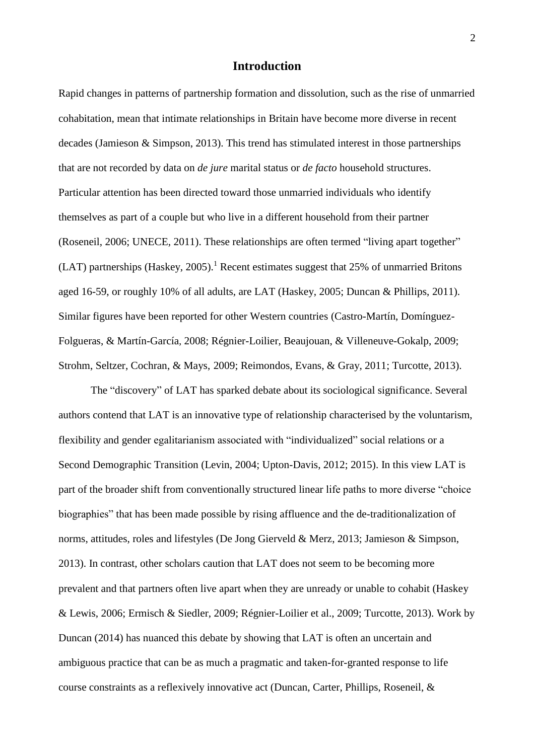## **Introduction**

Rapid changes in patterns of partnership formation and dissolution, such as the rise of unmarried cohabitation, mean that intimate relationships in Britain have become more diverse in recent decades (Jamieson & Simpson, 2013). This trend has stimulated interest in those partnerships that are not recorded by data on *de jure* marital status or *de facto* household structures. Particular attention has been directed toward those unmarried individuals who identify themselves as part of a couple but who live in a different household from their partner (Roseneil, 2006; UNECE, 2011). These relationships are often termed "living apart together" (LAT) partnerships (Haskey, 2005).<sup>1</sup> Recent estimates suggest that 25% of unmarried Britons aged 16-59, or roughly 10% of all adults, are LAT (Haskey, 2005; Duncan & Phillips, 2011). Similar figures have been reported for other Western countries (Castro-Martín, Domínguez-Folgueras, & Martín-García, 2008; Régnier-Loilier, Beaujouan, & Villeneuve-Gokalp, 2009; Strohm, Seltzer, Cochran, & Mays, 2009; Reimondos, Evans, & Gray, 2011; Turcotte, 2013).

The "discovery" of LAT has sparked debate about its sociological significance. Several authors contend that LAT is an innovative type of relationship characterised by the voluntarism, flexibility and gender egalitarianism associated with "individualized" social relations or a Second Demographic Transition (Levin, 2004; Upton-Davis, 2012; 2015). In this view LAT is part of the broader shift from conventionally structured linear life paths to more diverse "choice biographies" that has been made possible by rising affluence and the de-traditionalization of norms, attitudes, roles and lifestyles (De Jong Gierveld & Merz, 2013; Jamieson & Simpson, 2013). In contrast, other scholars caution that LAT does not seem to be becoming more prevalent and that partners often live apart when they are unready or unable to cohabit (Haskey & Lewis, 2006; Ermisch & Siedler, 2009; Régnier-Loilier et al., 2009; Turcotte, 2013). Work by Duncan (2014) has nuanced this debate by showing that LAT is often an uncertain and ambiguous practice that can be as much a pragmatic and taken-for-granted response to life course constraints as a reflexively innovative act (Duncan, Carter, Phillips, Roseneil, &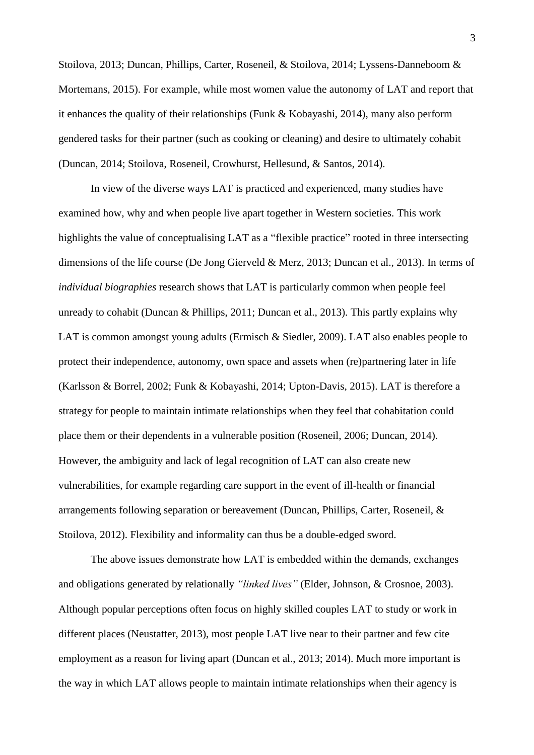Stoilova, 2013; Duncan, Phillips, Carter, Roseneil, & Stoilova, 2014; Lyssens-Danneboom & Mortemans, 2015). For example, while most women value the autonomy of LAT and report that it enhances the quality of their relationships (Funk & Kobayashi, 2014), many also perform gendered tasks for their partner (such as cooking or cleaning) and desire to ultimately cohabit (Duncan, 2014; Stoilova, Roseneil, Crowhurst, Hellesund, & Santos, 2014).

In view of the diverse ways LAT is practiced and experienced, many studies have examined how, why and when people live apart together in Western societies. This work highlights the value of conceptualising LAT as a "flexible practice" rooted in three intersecting dimensions of the life course (De Jong Gierveld & Merz, 2013; Duncan et al., 2013). In terms of *individual biographies* research shows that LAT is particularly common when people feel unready to cohabit (Duncan & Phillips, 2011; Duncan et al., 2013). This partly explains why LAT is common amongst young adults (Ermisch & Siedler, 2009). LAT also enables people to protect their independence, autonomy, own space and assets when (re)partnering later in life (Karlsson & Borrel, 2002; Funk & Kobayashi, 2014; Upton-Davis, 2015). LAT is therefore a strategy for people to maintain intimate relationships when they feel that cohabitation could place them or their dependents in a vulnerable position (Roseneil, 2006; Duncan, 2014). However, the ambiguity and lack of legal recognition of LAT can also create new vulnerabilities, for example regarding care support in the event of ill-health or financial arrangements following separation or bereavement (Duncan, Phillips, Carter, Roseneil, & Stoilova, 2012). Flexibility and informality can thus be a double-edged sword.

The above issues demonstrate how LAT is embedded within the demands, exchanges and obligations generated by relationally *"linked lives"* (Elder, Johnson, & Crosnoe, 2003). Although popular perceptions often focus on highly skilled couples LAT to study or work in different places (Neustatter, 2013), most people LAT live near to their partner and few cite employment as a reason for living apart (Duncan et al., 2013; 2014). Much more important is the way in which LAT allows people to maintain intimate relationships when their agency is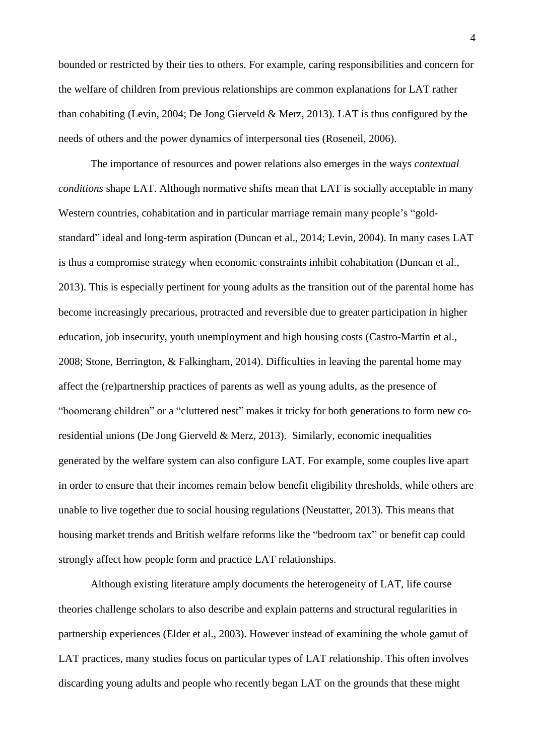bounded or restricted by their ties to others. For example, caring responsibilities and concern for the welfare of children from previous relationships are common explanations for LAT rather than cohabiting (Levin, 2004; De Jong Gierveld & Merz, 2013). LAT is thus configured by the needs of others and the power dynamics of interpersonal ties (Roseneil, 2006).

The importance of resources and power relations also emerges in the ways *contextual conditions* shape LAT. Although normative shifts mean that LAT is socially acceptable in many Western countries, cohabitation and in particular marriage remain many people's "goldstandard" ideal and long-term aspiration (Duncan et al., 2014; Levin, 2004). In many cases LAT is thus a compromise strategy when economic constraints inhibit cohabitation (Duncan et al., 2013). This is especially pertinent for young adults as the transition out of the parental home has become increasingly precarious, protracted and reversible due to greater participation in higher education, job insecurity, youth unemployment and high housing costs (Castro-Martín et al., 2008; Stone, Berrington, & Falkingham, 2014). Difficulties in leaving the parental home may affect the (re)partnership practices of parents as well as young adults, as the presence of "boomerang children" or a "cluttered nest" makes it tricky for both generations to form new coresidential unions (De Jong Gierveld & Merz, 2013). Similarly, economic inequalities generated by the welfare system can also configure LAT. For example, some couples live apart in order to ensure that their incomes remain below benefit eligibility thresholds, while others are unable to live together due to social housing regulations (Neustatter, 2013). This means that housing market trends and British welfare reforms like the "bedroom tax" or benefit cap could strongly affect how people form and practice LAT relationships.

Although existing literature amply documents the heterogeneity of LAT, life course theories challenge scholars to also describe and explain patterns and structural regularities in partnership experiences (Elder et al., 2003). However instead of examining the whole gamut of LAT practices, many studies focus on particular types of LAT relationship. This often involves discarding young adults and people who recently began LAT on the grounds that these might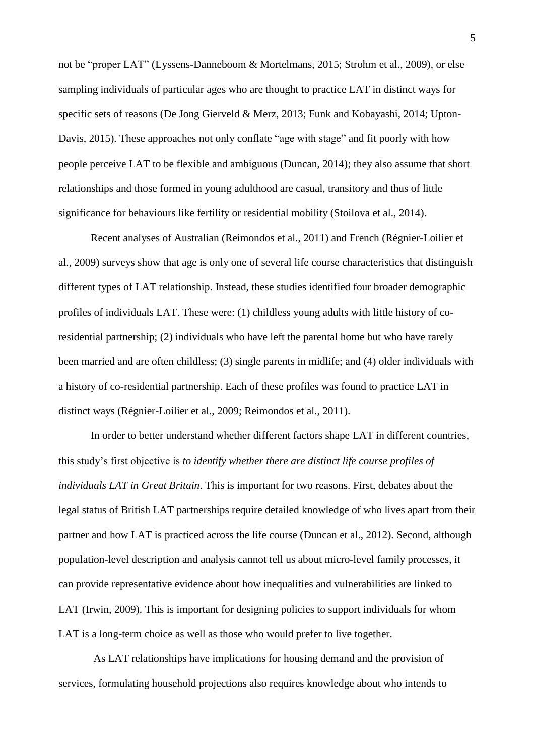not be "proper LAT" (Lyssens-Danneboom & Mortelmans, 2015; Strohm et al., 2009), or else sampling individuals of particular ages who are thought to practice LAT in distinct ways for specific sets of reasons (De Jong Gierveld & Merz, 2013; Funk and Kobayashi, 2014; Upton-Davis, 2015). These approaches not only conflate "age with stage" and fit poorly with how people perceive LAT to be flexible and ambiguous (Duncan, 2014); they also assume that short relationships and those formed in young adulthood are casual, transitory and thus of little significance for behaviours like fertility or residential mobility (Stoilova et al., 2014).

Recent analyses of Australian (Reimondos et al., 2011) and French (Régnier-Loilier et al., 2009) surveys show that age is only one of several life course characteristics that distinguish different types of LAT relationship. Instead, these studies identified four broader demographic profiles of individuals LAT. These were: (1) childless young adults with little history of coresidential partnership; (2) individuals who have left the parental home but who have rarely been married and are often childless; (3) single parents in midlife; and (4) older individuals with a history of co-residential partnership. Each of these profiles was found to practice LAT in distinct ways (Régnier-Loilier et al., 2009; Reimondos et al., 2011).

In order to better understand whether different factors shape LAT in different countries, this study's first objective is *to identify whether there are distinct life course profiles of individuals LAT in Great Britain*. This is important for two reasons. First, debates about the legal status of British LAT partnerships require detailed knowledge of who lives apart from their partner and how LAT is practiced across the life course (Duncan et al., 2012). Second, although population-level description and analysis cannot tell us about micro-level family processes, it can provide representative evidence about how inequalities and vulnerabilities are linked to LAT (Irwin, 2009). This is important for designing policies to support individuals for whom LAT is a long-term choice as well as those who would prefer to live together.

As LAT relationships have implications for housing demand and the provision of services, formulating household projections also requires knowledge about who intends to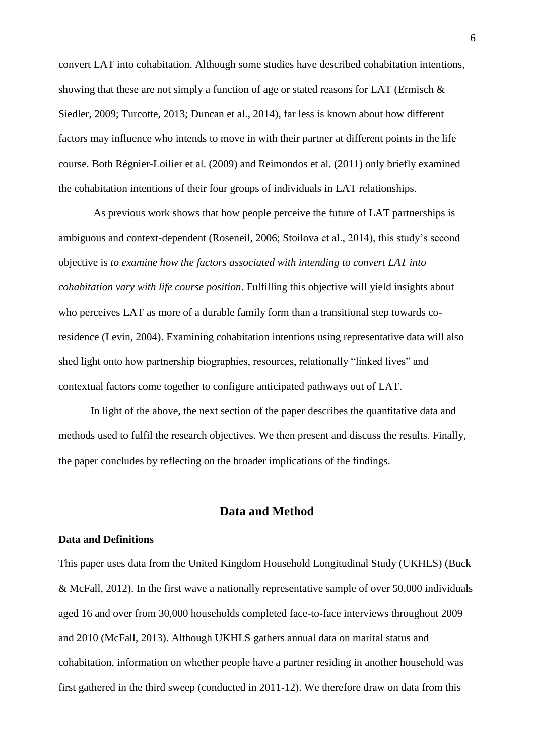convert LAT into cohabitation. Although some studies have described cohabitation intentions, showing that these are not simply a function of age or stated reasons for LAT (Ermisch & Siedler, 2009; Turcotte, 2013; Duncan et al., 2014), far less is known about how different factors may influence who intends to move in with their partner at different points in the life course. Both Régnier-Loilier et al. (2009) and Reimondos et al. (2011) only briefly examined the cohabitation intentions of their four groups of individuals in LAT relationships.

As previous work shows that how people perceive the future of LAT partnerships is ambiguous and context-dependent (Roseneil, 2006; Stoilova et al., 2014), this study's second objective is *to examine how the factors associated with intending to convert LAT into cohabitation vary with life course position*. Fulfilling this objective will yield insights about who perceives LAT as more of a durable family form than a transitional step towards coresidence (Levin, 2004). Examining cohabitation intentions using representative data will also shed light onto how partnership biographies, resources, relationally "linked lives" and contextual factors come together to configure anticipated pathways out of LAT.

In light of the above, the next section of the paper describes the quantitative data and methods used to fulfil the research objectives. We then present and discuss the results. Finally, the paper concludes by reflecting on the broader implications of the findings.

## **Data and Method**

#### **Data and Definitions**

This paper uses data from the United Kingdom Household Longitudinal Study (UKHLS) (Buck & McFall, 2012). In the first wave a nationally representative sample of over 50,000 individuals aged 16 and over from 30,000 households completed face-to-face interviews throughout 2009 and 2010 (McFall, 2013). Although UKHLS gathers annual data on marital status and cohabitation, information on whether people have a partner residing in another household was first gathered in the third sweep (conducted in 2011-12). We therefore draw on data from this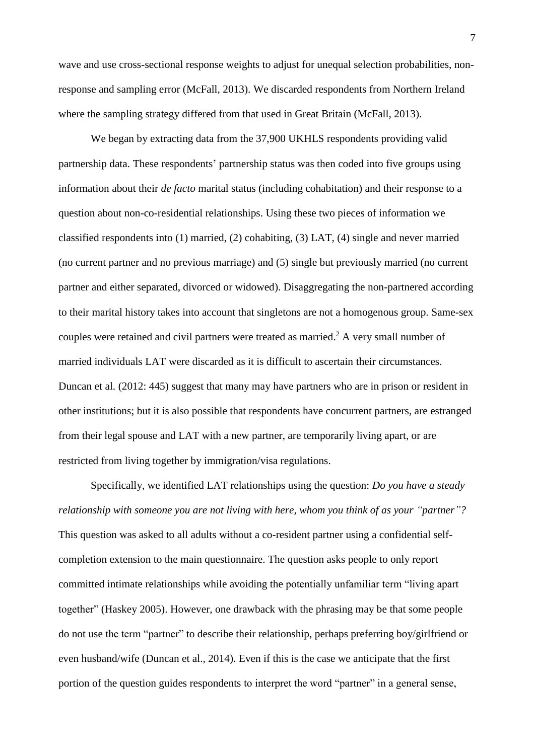wave and use cross-sectional response weights to adjust for unequal selection probabilities, nonresponse and sampling error (McFall, 2013). We discarded respondents from Northern Ireland where the sampling strategy differed from that used in Great Britain (McFall, 2013).

We began by extracting data from the 37,900 UKHLS respondents providing valid partnership data. These respondents' partnership status was then coded into five groups using information about their *de facto* marital status (including cohabitation) and their response to a question about non-co-residential relationships. Using these two pieces of information we classified respondents into (1) married, (2) cohabiting, (3) LAT, (4) single and never married (no current partner and no previous marriage) and (5) single but previously married (no current partner and either separated, divorced or widowed). Disaggregating the non-partnered according to their marital history takes into account that singletons are not a homogenous group. Same-sex couples were retained and civil partners were treated as married.<sup>2</sup> A very small number of married individuals LAT were discarded as it is difficult to ascertain their circumstances. Duncan et al. (2012: 445) suggest that many may have partners who are in prison or resident in other institutions; but it is also possible that respondents have concurrent partners, are estranged from their legal spouse and LAT with a new partner, are temporarily living apart, or are restricted from living together by immigration/visa regulations.

Specifically, we identified LAT relationships using the question: *Do you have a steady relationship with someone you are not living with here, whom you think of as your "partner"?* This question was asked to all adults without a co-resident partner using a confidential selfcompletion extension to the main questionnaire. The question asks people to only report committed intimate relationships while avoiding the potentially unfamiliar term "living apart together" (Haskey 2005). However, one drawback with the phrasing may be that some people do not use the term "partner" to describe their relationship, perhaps preferring boy/girlfriend or even husband/wife (Duncan et al., 2014). Even if this is the case we anticipate that the first portion of the question guides respondents to interpret the word "partner" in a general sense,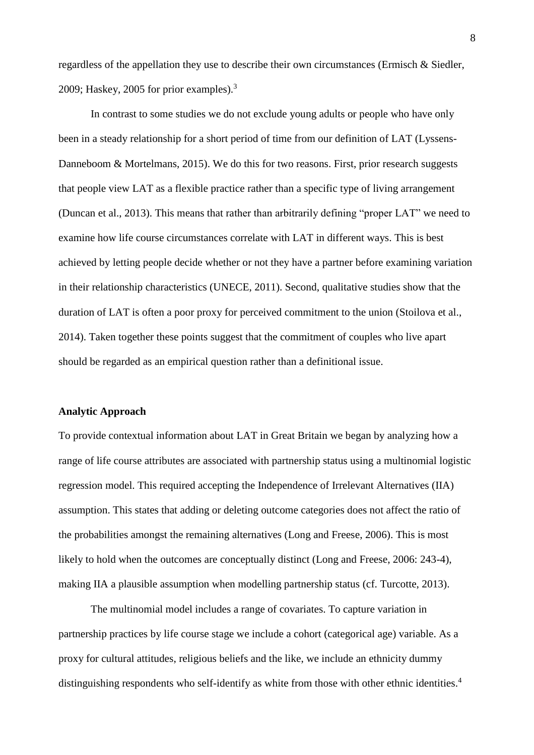regardless of the appellation they use to describe their own circumstances (Ermisch & Siedler, 2009; Haskey, 2005 for prior examples). $3$ 

In contrast to some studies we do not exclude young adults or people who have only been in a steady relationship for a short period of time from our definition of LAT (Lyssens-Danneboom & Mortelmans, 2015). We do this for two reasons. First, prior research suggests that people view LAT as a flexible practice rather than a specific type of living arrangement (Duncan et al., 2013). This means that rather than arbitrarily defining "proper LAT" we need to examine how life course circumstances correlate with LAT in different ways. This is best achieved by letting people decide whether or not they have a partner before examining variation in their relationship characteristics (UNECE, 2011). Second, qualitative studies show that the duration of LAT is often a poor proxy for perceived commitment to the union (Stoilova et al., 2014). Taken together these points suggest that the commitment of couples who live apart should be regarded as an empirical question rather than a definitional issue.

### **Analytic Approach**

To provide contextual information about LAT in Great Britain we began by analyzing how a range of life course attributes are associated with partnership status using a multinomial logistic regression model. This required accepting the Independence of Irrelevant Alternatives (IIA) assumption. This states that adding or deleting outcome categories does not affect the ratio of the probabilities amongst the remaining alternatives (Long and Freese, 2006). This is most likely to hold when the outcomes are conceptually distinct (Long and Freese, 2006: 243-4), making IIA a plausible assumption when modelling partnership status (cf. Turcotte, 2013).

The multinomial model includes a range of covariates. To capture variation in partnership practices by life course stage we include a cohort (categorical age) variable. As a proxy for cultural attitudes, religious beliefs and the like, we include an ethnicity dummy distinguishing respondents who self-identify as white from those with other ethnic identities.<sup>4</sup>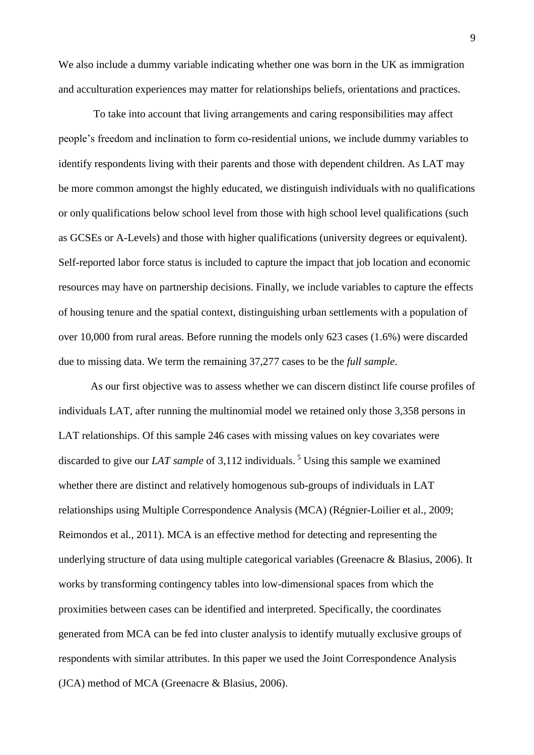We also include a dummy variable indicating whether one was born in the UK as immigration and acculturation experiences may matter for relationships beliefs, orientations and practices.

To take into account that living arrangements and caring responsibilities may affect people's freedom and inclination to form co-residential unions, we include dummy variables to identify respondents living with their parents and those with dependent children. As LAT may be more common amongst the highly educated, we distinguish individuals with no qualifications or only qualifications below school level from those with high school level qualifications (such as GCSEs or A-Levels) and those with higher qualifications (university degrees or equivalent). Self-reported labor force status is included to capture the impact that job location and economic resources may have on partnership decisions. Finally, we include variables to capture the effects of housing tenure and the spatial context, distinguishing urban settlements with a population of over 10,000 from rural areas. Before running the models only 623 cases (1.6%) were discarded due to missing data. We term the remaining 37,277 cases to be the *full sample*.

As our first objective was to assess whether we can discern distinct life course profiles of individuals LAT, after running the multinomial model we retained only those 3,358 persons in LAT relationships. Of this sample 246 cases with missing values on key covariates were discarded to give our *LAT sample* of 3,112 individuals. <sup>5</sup> Using this sample we examined whether there are distinct and relatively homogenous sub-groups of individuals in LAT relationships using Multiple Correspondence Analysis (MCA) (Régnier-Loilier et al., 2009; Reimondos et al., 2011). MCA is an effective method for detecting and representing the underlying structure of data using multiple categorical variables (Greenacre & Blasius, 2006). It works by transforming contingency tables into low-dimensional spaces from which the proximities between cases can be identified and interpreted. Specifically, the coordinates generated from MCA can be fed into cluster analysis to identify mutually exclusive groups of respondents with similar attributes. In this paper we used the Joint Correspondence Analysis (JCA) method of MCA (Greenacre & Blasius, 2006).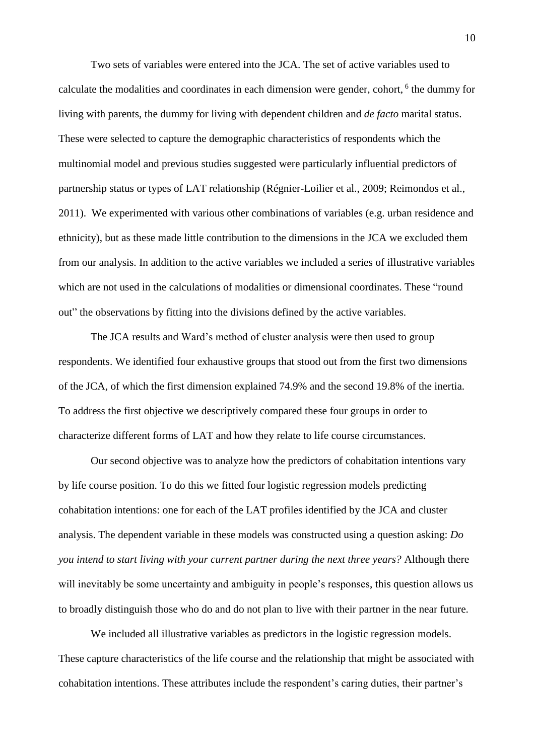Two sets of variables were entered into the JCA. The set of active variables used to calculate the modalities and coordinates in each dimension were gender, cohort, 6 the dummy for living with parents, the dummy for living with dependent children and *de facto* marital status. These were selected to capture the demographic characteristics of respondents which the multinomial model and previous studies suggested were particularly influential predictors of partnership status or types of LAT relationship (Régnier-Loilier et al., 2009; Reimondos et al., 2011). We experimented with various other combinations of variables (e.g. urban residence and ethnicity), but as these made little contribution to the dimensions in the JCA we excluded them from our analysis. In addition to the active variables we included a series of illustrative variables which are not used in the calculations of modalities or dimensional coordinates. These "round out" the observations by fitting into the divisions defined by the active variables.

The JCA results and Ward's method of cluster analysis were then used to group respondents. We identified four exhaustive groups that stood out from the first two dimensions of the JCA, of which the first dimension explained 74.9% and the second 19.8% of the inertia. To address the first objective we descriptively compared these four groups in order to characterize different forms of LAT and how they relate to life course circumstances.

Our second objective was to analyze how the predictors of cohabitation intentions vary by life course position. To do this we fitted four logistic regression models predicting cohabitation intentions: one for each of the LAT profiles identified by the JCA and cluster analysis. The dependent variable in these models was constructed using a question asking: *Do you intend to start living with your current partner during the next three years?* Although there will inevitably be some uncertainty and ambiguity in people's responses, this question allows us to broadly distinguish those who do and do not plan to live with their partner in the near future.

We included all illustrative variables as predictors in the logistic regression models. These capture characteristics of the life course and the relationship that might be associated with cohabitation intentions. These attributes include the respondent's caring duties, their partner's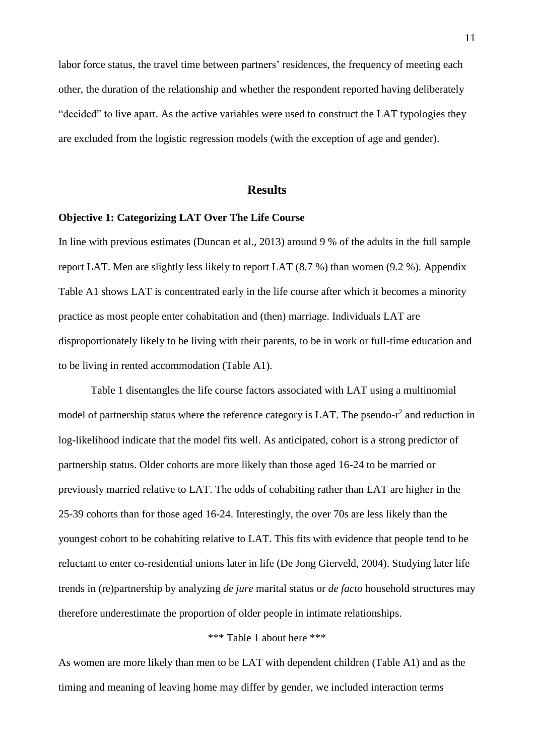labor force status, the travel time between partners' residences, the frequency of meeting each other, the duration of the relationship and whether the respondent reported having deliberately "decided" to live apart. As the active variables were used to construct the LAT typologies they are excluded from the logistic regression models (with the exception of age and gender).

### **Results**

### **Objective 1: Categorizing LAT Over The Life Course**

In line with previous estimates (Duncan et al., 2013) around 9 % of the adults in the full sample report LAT. Men are slightly less likely to report LAT (8.7 %) than women (9.2 %). Appendix Table A1 shows LAT is concentrated early in the life course after which it becomes a minority practice as most people enter cohabitation and (then) marriage. Individuals LAT are disproportionately likely to be living with their parents, to be in work or full-time education and to be living in rented accommodation (Table A1).

Table 1 disentangles the life course factors associated with LAT using a multinomial model of partnership status where the reference category is LAT. The pseudo- $r^2$  and reduction in log-likelihood indicate that the model fits well. As anticipated, cohort is a strong predictor of partnership status. Older cohorts are more likely than those aged 16-24 to be married or previously married relative to LAT. The odds of cohabiting rather than LAT are higher in the 25-39 cohorts than for those aged 16-24. Interestingly, the over 70s are less likely than the youngest cohort to be cohabiting relative to LAT. This fits with evidence that people tend to be reluctant to enter co-residential unions later in life (De Jong Gierveld, 2004). Studying later life trends in (re)partnership by analyzing *de jure* marital status or *de facto* household structures may therefore underestimate the proportion of older people in intimate relationships.

## \*\*\* Table 1 about here \*\*\*

As women are more likely than men to be LAT with dependent children (Table A1) and as the timing and meaning of leaving home may differ by gender, we included interaction terms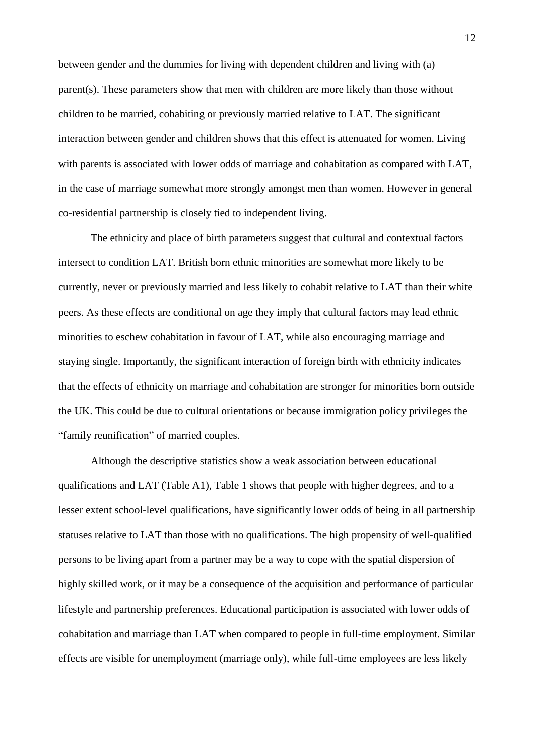between gender and the dummies for living with dependent children and living with (a) parent(s). These parameters show that men with children are more likely than those without children to be married, cohabiting or previously married relative to LAT. The significant interaction between gender and children shows that this effect is attenuated for women. Living with parents is associated with lower odds of marriage and cohabitation as compared with LAT, in the case of marriage somewhat more strongly amongst men than women. However in general co-residential partnership is closely tied to independent living.

The ethnicity and place of birth parameters suggest that cultural and contextual factors intersect to condition LAT. British born ethnic minorities are somewhat more likely to be currently, never or previously married and less likely to cohabit relative to LAT than their white peers. As these effects are conditional on age they imply that cultural factors may lead ethnic minorities to eschew cohabitation in favour of LAT, while also encouraging marriage and staying single. Importantly, the significant interaction of foreign birth with ethnicity indicates that the effects of ethnicity on marriage and cohabitation are stronger for minorities born outside the UK. This could be due to cultural orientations or because immigration policy privileges the "family reunification" of married couples.

Although the descriptive statistics show a weak association between educational qualifications and LAT (Table A1), Table 1 shows that people with higher degrees, and to a lesser extent school-level qualifications, have significantly lower odds of being in all partnership statuses relative to LAT than those with no qualifications. The high propensity of well-qualified persons to be living apart from a partner may be a way to cope with the spatial dispersion of highly skilled work, or it may be a consequence of the acquisition and performance of particular lifestyle and partnership preferences. Educational participation is associated with lower odds of cohabitation and marriage than LAT when compared to people in full-time employment. Similar effects are visible for unemployment (marriage only), while full-time employees are less likely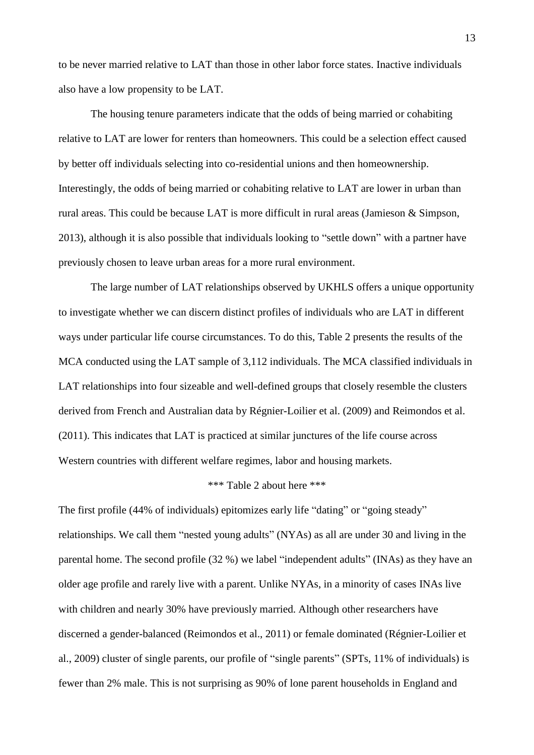to be never married relative to LAT than those in other labor force states. Inactive individuals also have a low propensity to be LAT.

The housing tenure parameters indicate that the odds of being married or cohabiting relative to LAT are lower for renters than homeowners. This could be a selection effect caused by better off individuals selecting into co-residential unions and then homeownership. Interestingly, the odds of being married or cohabiting relative to LAT are lower in urban than rural areas. This could be because LAT is more difficult in rural areas (Jamieson & Simpson, 2013), although it is also possible that individuals looking to "settle down" with a partner have previously chosen to leave urban areas for a more rural environment.

The large number of LAT relationships observed by UKHLS offers a unique opportunity to investigate whether we can discern distinct profiles of individuals who are LAT in different ways under particular life course circumstances. To do this, Table 2 presents the results of the MCA conducted using the LAT sample of 3,112 individuals. The MCA classified individuals in LAT relationships into four sizeable and well-defined groups that closely resemble the clusters derived from French and Australian data by Régnier-Loilier et al. (2009) and Reimondos et al. (2011). This indicates that LAT is practiced at similar junctures of the life course across Western countries with different welfare regimes, labor and housing markets.

#### \*\*\* Table 2 about here \*\*\*

The first profile (44% of individuals) epitomizes early life "dating" or "going steady" relationships. We call them "nested young adults" (NYAs) as all are under 30 and living in the parental home. The second profile (32 %) we label "independent adults" (INAs) as they have an older age profile and rarely live with a parent. Unlike NYAs, in a minority of cases INAs live with children and nearly 30% have previously married. Although other researchers have discerned a gender-balanced (Reimondos et al., 2011) or female dominated (Régnier-Loilier et al., 2009) cluster of single parents, our profile of "single parents" (SPTs, 11% of individuals) is fewer than 2% male. This is not surprising as 90% of lone parent households in England and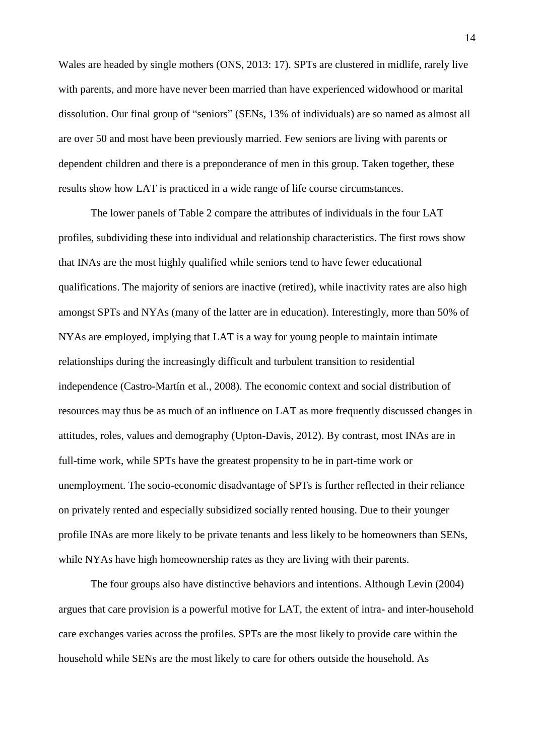Wales are headed by single mothers (ONS, 2013: 17). SPTs are clustered in midlife, rarely live with parents, and more have never been married than have experienced widowhood or marital dissolution. Our final group of "seniors" (SENs, 13% of individuals) are so named as almost all are over 50 and most have been previously married. Few seniors are living with parents or dependent children and there is a preponderance of men in this group. Taken together, these results show how LAT is practiced in a wide range of life course circumstances.

The lower panels of Table 2 compare the attributes of individuals in the four LAT profiles, subdividing these into individual and relationship characteristics. The first rows show that INAs are the most highly qualified while seniors tend to have fewer educational qualifications. The majority of seniors are inactive (retired), while inactivity rates are also high amongst SPTs and NYAs (many of the latter are in education). Interestingly, more than 50% of NYAs are employed, implying that LAT is a way for young people to maintain intimate relationships during the increasingly difficult and turbulent transition to residential independence (Castro-Martín et al., 2008). The economic context and social distribution of resources may thus be as much of an influence on LAT as more frequently discussed changes in attitudes, roles, values and demography (Upton-Davis, 2012). By contrast, most INAs are in full-time work, while SPTs have the greatest propensity to be in part-time work or unemployment. The socio-economic disadvantage of SPTs is further reflected in their reliance on privately rented and especially subsidized socially rented housing. Due to their younger profile INAs are more likely to be private tenants and less likely to be homeowners than SENs, while NYAs have high homeownership rates as they are living with their parents.

The four groups also have distinctive behaviors and intentions. Although Levin (2004) argues that care provision is a powerful motive for LAT, the extent of intra- and inter-household care exchanges varies across the profiles. SPTs are the most likely to provide care within the household while SENs are the most likely to care for others outside the household. As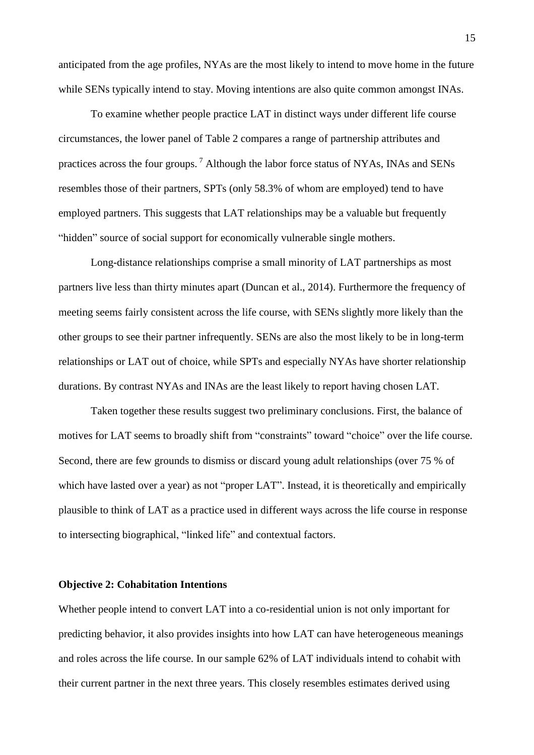anticipated from the age profiles, NYAs are the most likely to intend to move home in the future while SENs typically intend to stay. Moving intentions are also quite common amongst INAs.

To examine whether people practice LAT in distinct ways under different life course circumstances, the lower panel of Table 2 compares a range of partnership attributes and practices across the four groups. <sup>7</sup> Although the labor force status of NYAs, INAs and SENs resembles those of their partners, SPTs (only 58.3% of whom are employed) tend to have employed partners. This suggests that LAT relationships may be a valuable but frequently "hidden" source of social support for economically vulnerable single mothers.

Long-distance relationships comprise a small minority of LAT partnerships as most partners live less than thirty minutes apart (Duncan et al., 2014). Furthermore the frequency of meeting seems fairly consistent across the life course, with SENs slightly more likely than the other groups to see their partner infrequently. SENs are also the most likely to be in long-term relationships or LAT out of choice, while SPTs and especially NYAs have shorter relationship durations. By contrast NYAs and INAs are the least likely to report having chosen LAT.

Taken together these results suggest two preliminary conclusions. First, the balance of motives for LAT seems to broadly shift from "constraints" toward "choice" over the life course. Second, there are few grounds to dismiss or discard young adult relationships (over 75 % of which have lasted over a year) as not "proper LAT". Instead, it is theoretically and empirically plausible to think of LAT as a practice used in different ways across the life course in response to intersecting biographical, "linked life" and contextual factors.

## **Objective 2: Cohabitation Intentions**

Whether people intend to convert LAT into a co-residential union is not only important for predicting behavior, it also provides insights into how LAT can have heterogeneous meanings and roles across the life course. In our sample 62% of LAT individuals intend to cohabit with their current partner in the next three years. This closely resembles estimates derived using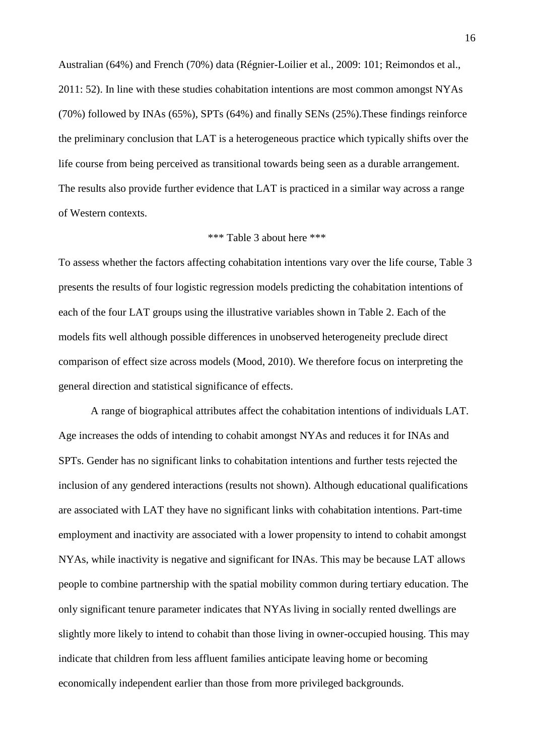Australian (64%) and French (70%) data (Régnier-Loilier et al., 2009: 101; Reimondos et al., 2011: 52). In line with these studies cohabitation intentions are most common amongst NYAs (70%) followed by INAs (65%), SPTs (64%) and finally SENs (25%).These findings reinforce the preliminary conclusion that LAT is a heterogeneous practice which typically shifts over the life course from being perceived as transitional towards being seen as a durable arrangement. The results also provide further evidence that LAT is practiced in a similar way across a range of Western contexts.

### \*\*\* Table 3 about here \*\*\*

To assess whether the factors affecting cohabitation intentions vary over the life course, Table 3 presents the results of four logistic regression models predicting the cohabitation intentions of each of the four LAT groups using the illustrative variables shown in Table 2. Each of the models fits well although possible differences in unobserved heterogeneity preclude direct comparison of effect size across models (Mood, 2010). We therefore focus on interpreting the general direction and statistical significance of effects.

A range of biographical attributes affect the cohabitation intentions of individuals LAT. Age increases the odds of intending to cohabit amongst NYAs and reduces it for INAs and SPTs. Gender has no significant links to cohabitation intentions and further tests rejected the inclusion of any gendered interactions (results not shown). Although educational qualifications are associated with LAT they have no significant links with cohabitation intentions. Part-time employment and inactivity are associated with a lower propensity to intend to cohabit amongst NYAs, while inactivity is negative and significant for INAs. This may be because LAT allows people to combine partnership with the spatial mobility common during tertiary education. The only significant tenure parameter indicates that NYAs living in socially rented dwellings are slightly more likely to intend to cohabit than those living in owner-occupied housing. This may indicate that children from less affluent families anticipate leaving home or becoming economically independent earlier than those from more privileged backgrounds.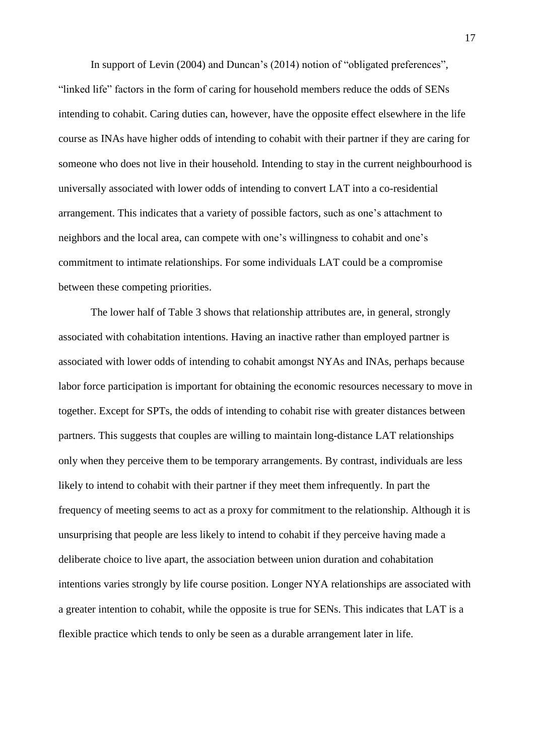In support of Levin (2004) and Duncan's (2014) notion of "obligated preferences", "linked life" factors in the form of caring for household members reduce the odds of SENs intending to cohabit. Caring duties can, however, have the opposite effect elsewhere in the life course as INAs have higher odds of intending to cohabit with their partner if they are caring for someone who does not live in their household. Intending to stay in the current neighbourhood is universally associated with lower odds of intending to convert LAT into a co-residential arrangement. This indicates that a variety of possible factors, such as one's attachment to neighbors and the local area, can compete with one's willingness to cohabit and one's commitment to intimate relationships. For some individuals LAT could be a compromise between these competing priorities.

The lower half of Table 3 shows that relationship attributes are, in general, strongly associated with cohabitation intentions. Having an inactive rather than employed partner is associated with lower odds of intending to cohabit amongst NYAs and INAs, perhaps because labor force participation is important for obtaining the economic resources necessary to move in together. Except for SPTs, the odds of intending to cohabit rise with greater distances between partners. This suggests that couples are willing to maintain long-distance LAT relationships only when they perceive them to be temporary arrangements. By contrast, individuals are less likely to intend to cohabit with their partner if they meet them infrequently. In part the frequency of meeting seems to act as a proxy for commitment to the relationship. Although it is unsurprising that people are less likely to intend to cohabit if they perceive having made a deliberate choice to live apart, the association between union duration and cohabitation intentions varies strongly by life course position. Longer NYA relationships are associated with a greater intention to cohabit, while the opposite is true for SENs. This indicates that LAT is a flexible practice which tends to only be seen as a durable arrangement later in life.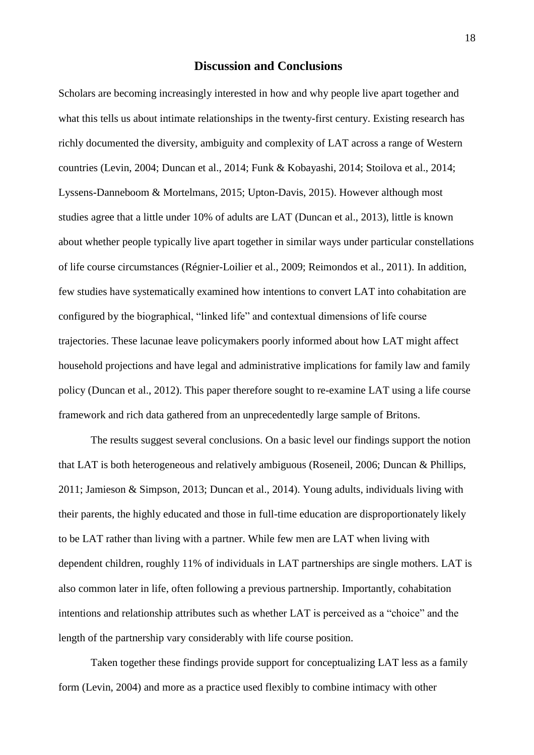## **Discussion and Conclusions**

Scholars are becoming increasingly interested in how and why people live apart together and what this tells us about intimate relationships in the twenty-first century. Existing research has richly documented the diversity, ambiguity and complexity of LAT across a range of Western countries (Levin, 2004; Duncan et al., 2014; Funk & Kobayashi, 2014; Stoilova et al., 2014; Lyssens-Danneboom & Mortelmans, 2015; Upton-Davis, 2015). However although most studies agree that a little under 10% of adults are LAT (Duncan et al., 2013), little is known about whether people typically live apart together in similar ways under particular constellations of life course circumstances (Régnier-Loilier et al., 2009; Reimondos et al., 2011). In addition, few studies have systematically examined how intentions to convert LAT into cohabitation are configured by the biographical, "linked life" and contextual dimensions of life course trajectories. These lacunae leave policymakers poorly informed about how LAT might affect household projections and have legal and administrative implications for family law and family policy (Duncan et al., 2012). This paper therefore sought to re-examine LAT using a life course framework and rich data gathered from an unprecedentedly large sample of Britons.

The results suggest several conclusions. On a basic level our findings support the notion that LAT is both heterogeneous and relatively ambiguous (Roseneil, 2006; Duncan & Phillips, 2011; Jamieson & Simpson, 2013; Duncan et al., 2014). Young adults, individuals living with their parents, the highly educated and those in full-time education are disproportionately likely to be LAT rather than living with a partner. While few men are LAT when living with dependent children, roughly 11% of individuals in LAT partnerships are single mothers. LAT is also common later in life, often following a previous partnership. Importantly, cohabitation intentions and relationship attributes such as whether LAT is perceived as a "choice" and the length of the partnership vary considerably with life course position.

Taken together these findings provide support for conceptualizing LAT less as a family form (Levin, 2004) and more as a practice used flexibly to combine intimacy with other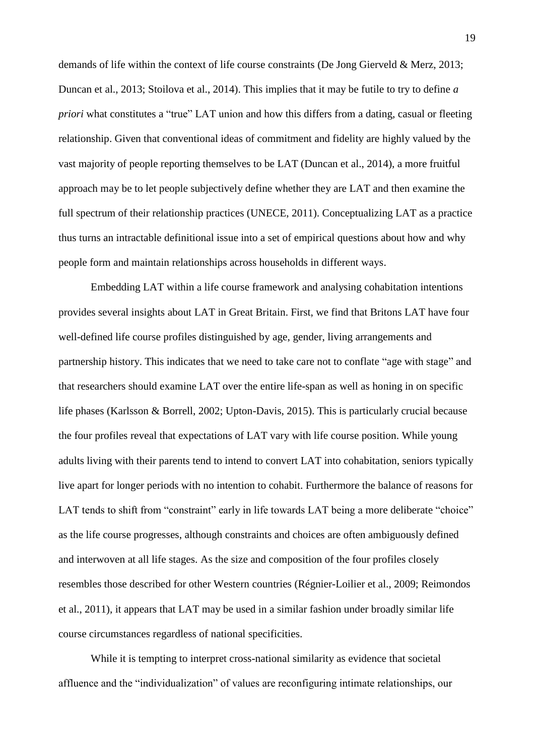demands of life within the context of life course constraints (De Jong Gierveld & Merz, 2013; Duncan et al., 2013; Stoilova et al., 2014). This implies that it may be futile to try to define *a priori* what constitutes a "true" LAT union and how this differs from a dating, casual or fleeting relationship. Given that conventional ideas of commitment and fidelity are highly valued by the vast majority of people reporting themselves to be LAT (Duncan et al., 2014), a more fruitful approach may be to let people subjectively define whether they are LAT and then examine the full spectrum of their relationship practices (UNECE, 2011). Conceptualizing LAT as a practice thus turns an intractable definitional issue into a set of empirical questions about how and why people form and maintain relationships across households in different ways.

Embedding LAT within a life course framework and analysing cohabitation intentions provides several insights about LAT in Great Britain. First, we find that Britons LAT have four well-defined life course profiles distinguished by age, gender, living arrangements and partnership history. This indicates that we need to take care not to conflate "age with stage" and that researchers should examine LAT over the entire life-span as well as honing in on specific life phases (Karlsson & Borrell, 2002; Upton-Davis, 2015). This is particularly crucial because the four profiles reveal that expectations of LAT vary with life course position. While young adults living with their parents tend to intend to convert LAT into cohabitation, seniors typically live apart for longer periods with no intention to cohabit. Furthermore the balance of reasons for LAT tends to shift from "constraint" early in life towards LAT being a more deliberate "choice" as the life course progresses, although constraints and choices are often ambiguously defined and interwoven at all life stages. As the size and composition of the four profiles closely resembles those described for other Western countries (Régnier-Loilier et al., 2009; Reimondos et al., 2011), it appears that LAT may be used in a similar fashion under broadly similar life course circumstances regardless of national specificities.

While it is tempting to interpret cross-national similarity as evidence that societal affluence and the "individualization" of values are reconfiguring intimate relationships, our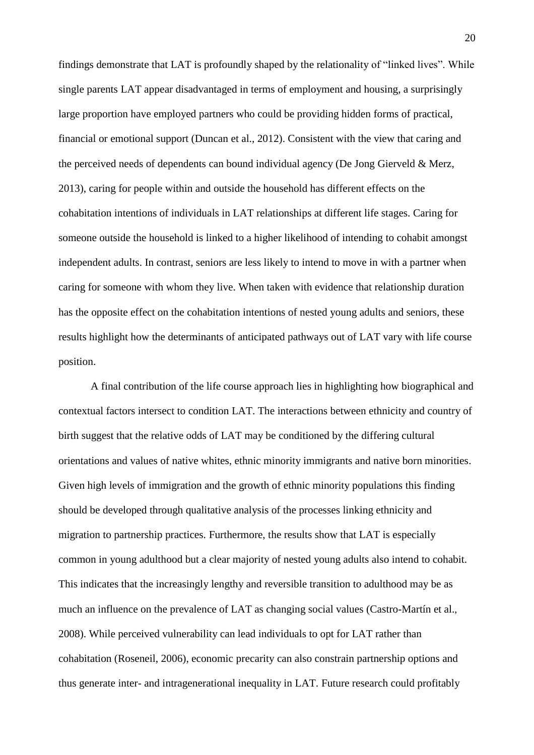findings demonstrate that LAT is profoundly shaped by the relationality of "linked lives". While single parents LAT appear disadvantaged in terms of employment and housing, a surprisingly large proportion have employed partners who could be providing hidden forms of practical, financial or emotional support (Duncan et al., 2012). Consistent with the view that caring and the perceived needs of dependents can bound individual agency (De Jong Gierveld & Merz, 2013), caring for people within and outside the household has different effects on the cohabitation intentions of individuals in LAT relationships at different life stages. Caring for someone outside the household is linked to a higher likelihood of intending to cohabit amongst independent adults. In contrast, seniors are less likely to intend to move in with a partner when caring for someone with whom they live. When taken with evidence that relationship duration has the opposite effect on the cohabitation intentions of nested young adults and seniors, these results highlight how the determinants of anticipated pathways out of LAT vary with life course position.

A final contribution of the life course approach lies in highlighting how biographical and contextual factors intersect to condition LAT. The interactions between ethnicity and country of birth suggest that the relative odds of LAT may be conditioned by the differing cultural orientations and values of native whites, ethnic minority immigrants and native born minorities. Given high levels of immigration and the growth of ethnic minority populations this finding should be developed through qualitative analysis of the processes linking ethnicity and migration to partnership practices. Furthermore, the results show that LAT is especially common in young adulthood but a clear majority of nested young adults also intend to cohabit. This indicates that the increasingly lengthy and reversible transition to adulthood may be as much an influence on the prevalence of LAT as changing social values (Castro-Martín et al., 2008). While perceived vulnerability can lead individuals to opt for LAT rather than cohabitation (Roseneil, 2006), economic precarity can also constrain partnership options and thus generate inter- and intragenerational inequality in LAT. Future research could profitably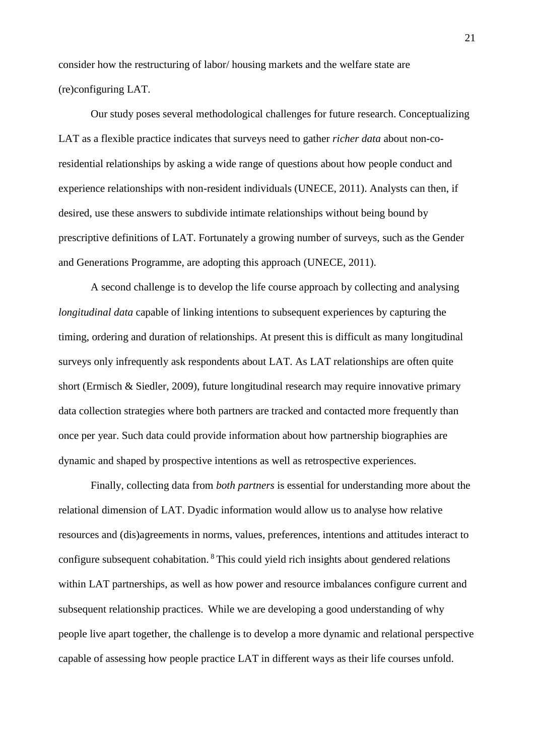consider how the restructuring of labor/ housing markets and the welfare state are (re)configuring LAT.

Our study poses several methodological challenges for future research. Conceptualizing LAT as a flexible practice indicates that surveys need to gather *richer data* about non-coresidential relationships by asking a wide range of questions about how people conduct and experience relationships with non-resident individuals (UNECE, 2011). Analysts can then, if desired, use these answers to subdivide intimate relationships without being bound by prescriptive definitions of LAT. Fortunately a growing number of surveys, such as the Gender and Generations Programme, are adopting this approach (UNECE, 2011).

A second challenge is to develop the life course approach by collecting and analysing *longitudinal data* capable of linking intentions to subsequent experiences by capturing the timing, ordering and duration of relationships. At present this is difficult as many longitudinal surveys only infrequently ask respondents about LAT. As LAT relationships are often quite short (Ermisch & Siedler, 2009), future longitudinal research may require innovative primary data collection strategies where both partners are tracked and contacted more frequently than once per year. Such data could provide information about how partnership biographies are dynamic and shaped by prospective intentions as well as retrospective experiences.

Finally, collecting data from *both partners* is essential for understanding more about the relational dimension of LAT. Dyadic information would allow us to analyse how relative resources and (dis)agreements in norms, values, preferences, intentions and attitudes interact to configure subsequent cohabitation. <sup>8</sup> This could yield rich insights about gendered relations within LAT partnerships, as well as how power and resource imbalances configure current and subsequent relationship practices. While we are developing a good understanding of why people live apart together, the challenge is to develop a more dynamic and relational perspective capable of assessing how people practice LAT in different ways as their life courses unfold.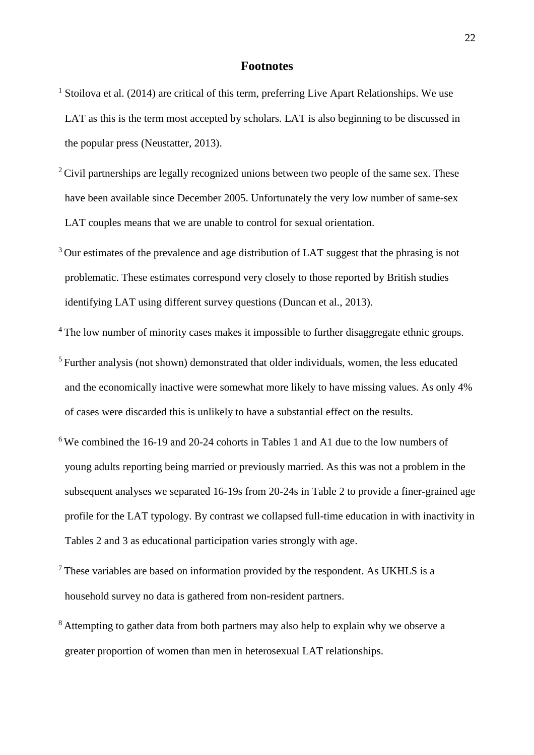## **Footnotes**

- <sup>1</sup> Stoilova et al. (2014) are critical of this term, preferring Live Apart Relationships. We use LAT as this is the term most accepted by scholars. LAT is also beginning to be discussed in the popular press (Neustatter, 2013).
- $2$  Civil partnerships are legally recognized unions between two people of the same sex. These have been available since December 2005. Unfortunately the very low number of same-sex LAT couples means that we are unable to control for sexual orientation.
- $3$  Our estimates of the prevalence and age distribution of LAT suggest that the phrasing is not problematic. These estimates correspond very closely to those reported by British studies identifying LAT using different survey questions (Duncan et al., 2013).
- <sup>4</sup>The low number of minority cases makes it impossible to further disaggregate ethnic groups.
- <sup>5</sup> Further analysis (not shown) demonstrated that older individuals, women, the less educated and the economically inactive were somewhat more likely to have missing values. As only 4% of cases were discarded this is unlikely to have a substantial effect on the results.
- $6$  We combined the 16-19 and 20-24 cohorts in Tables 1 and A1 due to the low numbers of young adults reporting being married or previously married. As this was not a problem in the subsequent analyses we separated 16-19s from 20-24s in Table 2 to provide a finer-grained age profile for the LAT typology. By contrast we collapsed full-time education in with inactivity in Tables 2 and 3 as educational participation varies strongly with age.
- $7$  These variables are based on information provided by the respondent. As UKHLS is a household survey no data is gathered from non-resident partners.
- <sup>8</sup> Attempting to gather data from both partners may also help to explain why we observe a greater proportion of women than men in heterosexual LAT relationships.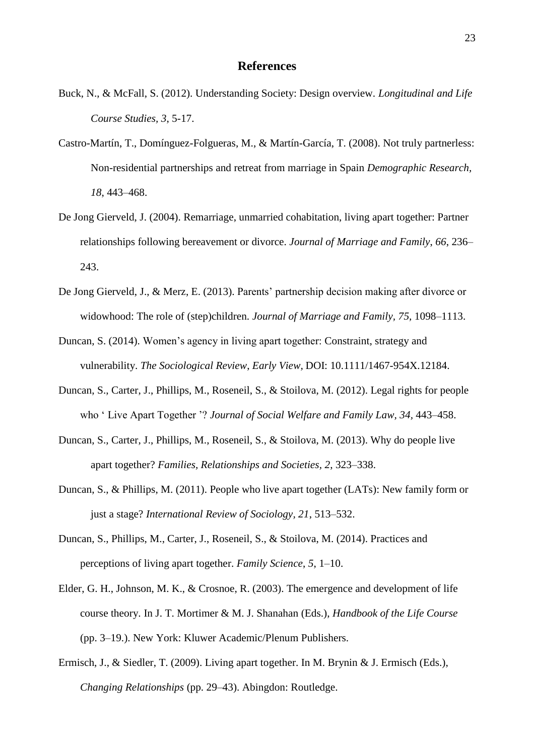- Buck, N., & McFall, S. (2012). Understanding Society: Design overview. *Longitudinal and Life Course Studies, 3*, 5-17.
- Castro-Martín, T., Domínguez-Folgueras, M., & Martín-García, T. (2008). Not truly partnerless: Non-residential partnerships and retreat from marriage in Spain *Demographic Research, 18*, 443–468.
- De Jong Gierveld, J. (2004). Remarriage, unmarried cohabitation, living apart together: Partner relationships following bereavement or divorce. *Journal of Marriage and Family*, *66*, 236– 243.
- De Jong Gierveld, J., & Merz, E. (2013). Parents' partnership decision making after divorce or widowhood: The role of (step)children. *Journal of Marriage and Family, 75,* 1098–1113.
- Duncan, S. (2014). Women's agency in living apart together: Constraint, strategy and vulnerability. *The Sociological Review*, *Early View,* DOI: 10.1111/1467-954X.12184.
- Duncan, S., Carter, J., Phillips, M., Roseneil, S., & Stoilova, M. (2012). Legal rights for people who ' Live Apart Together '? *Journal of Social Welfare and Family Law, 34,* 443–458.
- Duncan, S., Carter, J., Phillips, M., Roseneil, S., & Stoilova, M. (2013). Why do people live apart together? *Families, Relationships and Societies, 2*, 323–338.
- Duncan, S., & Phillips, M. (2011). People who live apart together (LATs): New family form or just a stage? *International Review of Sociology, 21*, 513–532.
- Duncan, S., Phillips, M., Carter, J., Roseneil, S., & Stoilova, M. (2014). Practices and perceptions of living apart together. *Family Science*, *5*, 1–10.
- Elder, G. H., Johnson, M. K., & Crosnoe, R. (2003). The emergence and development of life course theory. In J. T. Mortimer & M. J. Shanahan (Eds.), *Handbook of the Life Course* (pp. 3–19.). New York: Kluwer Academic/Plenum Publishers.
- Ermisch, J., & Siedler, T. (2009). Living apart together. In M. Brynin & J. Ermisch (Eds.), *Changing Relationships* (pp. 29–43). Abingdon: Routledge.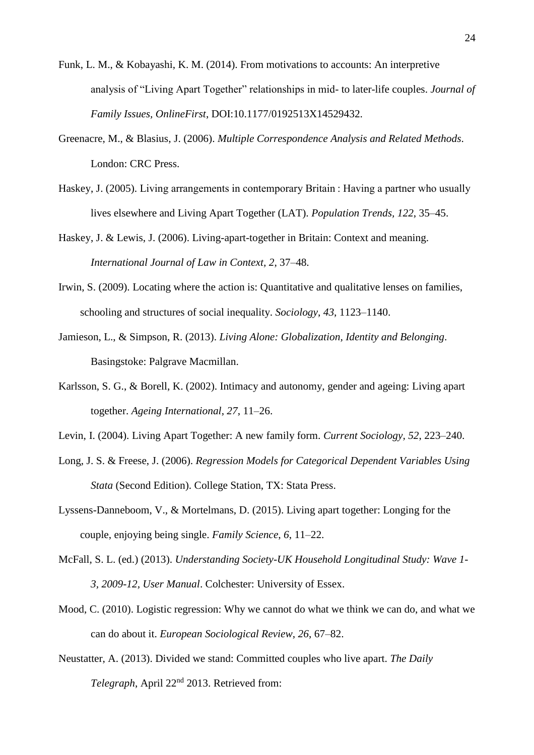- Funk, L. M., & Kobayashi, K. M. (2014). From motivations to accounts: An interpretive analysis of "Living Apart Together" relationships in mid- to later-life couples. *Journal of Family Issues, OnlineFirst*, DOI:10.1177/0192513X14529432.
- Greenacre, M., & Blasius, J. (2006). *Multiple Correspondence Analysis and Related Methods*. London: CRC Press.
- Haskey, J. (2005). Living arrangements in contemporary Britain : Having a partner who usually lives elsewhere and Living Apart Together (LAT). *Population Trends, 122*, 35–45.
- Haskey, J. & Lewis, J. (2006). Living-apart-together in Britain: Context and meaning. *International Journal of Law in Context, 2*, 37–48.
- Irwin, S. (2009). Locating where the action is: Quantitative and qualitative lenses on families, schooling and structures of social inequality. *Sociology*, *43*, 1123–1140.
- Jamieson, L., & Simpson, R. (2013). *Living Alone: Globalization, Identity and Belonging*. Basingstoke: Palgrave Macmillan.
- Karlsson, S. G., & Borell, K. (2002). Intimacy and autonomy, gender and ageing: Living apart together. *Ageing International*, *27*, 11–26.
- Levin, I. (2004). Living Apart Together: A new family form. *Current Sociology, 52*, 223–240.
- Long, J. S. & Freese, J. (2006). *Regression Models for Categorical Dependent Variables Using Stata* (Second Edition). College Station, TX: Stata Press.
- Lyssens-Danneboom, V., & Mortelmans, D. (2015). Living apart together: Longing for the couple, enjoying being single. *Family Science*, *6*, 11–22.
- McFall, S. L. (ed.) (2013). *Understanding Society-UK Household Longitudinal Study: Wave 1- 3, 2009-12, User Manual*. Colchester: University of Essex.
- Mood, C. (2010). Logistic regression: Why we cannot do what we think we can do, and what we can do about it. *European Sociological Review*, *26*, 67–82.
- Neustatter, A. (2013). Divided we stand: Committed couples who live apart. *The Daily Telegraph*, April 22nd 2013. Retrieved from: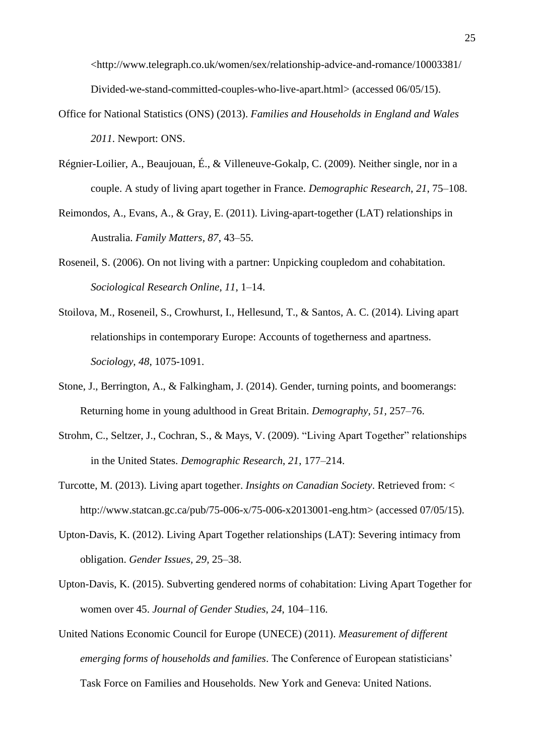<http://www.telegraph.co.uk/women/sex/relationship-advice-and-romance/10003381/ Divided-we-stand-committed-couples-who-live-apart.html> (accessed 06/05/15).

- Office for National Statistics (ONS) (2013). *Families and Households in England and Wales 2011*. Newport: ONS.
- Régnier-Loilier, A., Beaujouan, É., & Villeneuve-Gokalp, C. (2009). Neither single, nor in a couple. A study of living apart together in France. *Demographic Research*, *21*, 75–108.
- Reimondos, A., Evans, A., & Gray, E. (2011). Living-apart-together (LAT) relationships in Australia. *Family Matters, 87*, 43–55.
- Roseneil, S. (2006). On not living with a partner: Unpicking coupledom and cohabitation. *Sociological Research Online*, *11*, 1–14.
- Stoilova, M., Roseneil, S., Crowhurst, I., Hellesund, T., & Santos, A. C. (2014). Living apart relationships in contemporary Europe: Accounts of togetherness and apartness. *Sociology, 48*, 1075-1091.
- Stone, J., Berrington, A., & Falkingham, J. (2014). Gender, turning points, and boomerangs: Returning home in young adulthood in Great Britain. *Demography, 51,* 257–76.
- Strohm, C., Seltzer, J., Cochran, S., & Mays, V. (2009). "Living Apart Together" relationships in the United States. *Demographic Research*, *21*, 177–214.
- Turcotte, M. (2013). Living apart together. *Insights on Canadian Society*. Retrieved from: < http://www.statcan.gc.ca/pub/75-006-x/75-006-x2013001-eng.htm> (accessed 07/05/15).
- Upton-Davis, K. (2012). Living Apart Together relationships (LAT): Severing intimacy from obligation. *Gender Issues, 29,* 25–38.
- Upton-Davis, K. (2015). Subverting gendered norms of cohabitation: Living Apart Together for women over 45. *Journal of Gender Studies*, *24*, 104–116.
- United Nations Economic Council for Europe (UNECE) (2011). *Measurement of different emerging forms of households and families*. The Conference of European statisticians' Task Force on Families and Households. New York and Geneva: United Nations.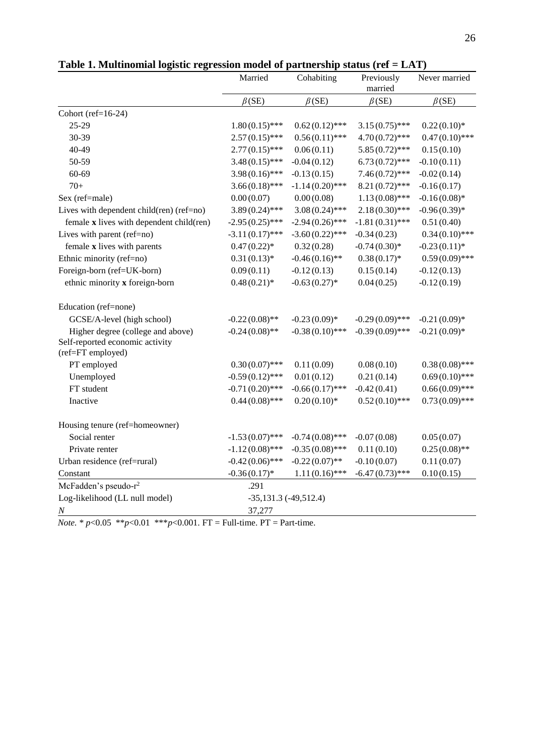|                                                      | Married                   | Cohabiting        | Previously<br>married | Never married    |  |
|------------------------------------------------------|---------------------------|-------------------|-----------------------|------------------|--|
|                                                      | $\beta$ (SE)              | $\beta$ (SE)      | $\beta$ (SE)          | $\beta$ (SE)     |  |
| Cohort (ref= $16-24$ )                               |                           |                   |                       |                  |  |
| 25-29                                                | $1.80(0.15)$ ***          | $0.62(0.12)$ ***  | $3.15(0.75)$ ***      | $0.22(0.10)*$    |  |
| 30-39                                                | $2.57(0.15)$ ***          | $0.56(0.11)$ ***  | $4.70(0.72)$ ***      | $0.47(0.10)$ *** |  |
| 40-49                                                | $2.77(0.15)$ ***          | 0.06(0.11)        | $5.85(0.72)$ ***      | 0.15(0.10)       |  |
| 50-59                                                | $3.48(0.15)$ ***          | $-0.04(0.12)$     | $6.73(0.72)$ ***      | $-0.10(0.11)$    |  |
| $60 - 69$                                            | $3.98(0.16)$ ***          | $-0.13(0.15)$     | $7.46(0.72)$ ***      | $-0.02(0.14)$    |  |
| $70+$                                                | $3.66(0.18)$ ***          | $-1.14(0.20)$ *** | $8.21(0.72)$ ***      | $-0.16(0.17)$    |  |
| Sex (ref=male)                                       | 0.00(0.07)                | 0.00(0.08)        | $1.13(0.08)$ ***      | $-0.16(0.08)*$   |  |
| Lives with dependent child(ren) (ref=no)             | $3.89(0.24)$ ***          | $3.08(0.24)$ ***  | $2.18(0.30)$ ***      | $-0.96(0.39)*$   |  |
| female x lives with dependent child(ren)             | $-2.95(0.25)$ ***         | $-2.94(0.26)$ *** | $-1.81(0.31)$ ***     | 0.51(0.40)       |  |
| Lives with parent (ref=no)                           | $-3.11(0.17)$ ***         | $-3.60(0.22)$ *** | $-0.34(0.23)$         | $0.34(0.10)$ *** |  |
| female x lives with parents                          | $0.47(0.22)*$             | 0.32(0.28)        | $-0.74(0.30)*$        | $-0.23(0.11)*$   |  |
| Ethnic minority (ref=no)                             | $0.31(0.13)*$             | $-0.46(0.16)$ **  | $0.38(0.17)*$         | $0.59(0.09)$ *** |  |
| Foreign-born (ref=UK-born)                           | 0.09(0.11)                | $-0.12(0.13)$     | 0.15(0.14)            | $-0.12(0.13)$    |  |
| ethnic minority x foreign-born                       | $0.48(0.21)$ *            | $-0.63(0.27)$ *   | 0.04(0.25)            | $-0.12(0.19)$    |  |
| Education (ref=none)                                 |                           |                   |                       |                  |  |
| GCSE/A-level (high school)                           | $-0.22(0.08)$ **          | $-0.23(0.09)*$    | $-0.29(0.09)$ ***     | $-0.21(0.09)*$   |  |
| Higher degree (college and above)                    | $-0.24(0.08)$ **          | $-0.38(0.10)$ *** | $-0.39(0.09)$ ***     | $-0.21(0.09)*$   |  |
| Self-reported economic activity<br>(ref=FT employed) |                           |                   |                       |                  |  |
| PT employed                                          | $0.30(0.07)$ ***          | 0.11(0.09)        | 0.08(0.10)            | $0.38(0.08)$ *** |  |
| Unemployed                                           | $-0.59(0.12)$ ***         | 0.01(0.12)        | 0.21(0.14)            | $0.69(0.10)$ *** |  |
| FT student                                           | $-0.71(0.20)$ ***         | $-0.66(0.17)$ *** | $-0.42(0.41)$         | $0.66(0.09)$ *** |  |
| Inactive                                             | $0.44(0.08)$ ***          | $0.20(0.10)*$     | $0.52(0.10)$ ***      | $0.73(0.09)$ *** |  |
| Housing tenure (ref=homeowner)                       |                           |                   |                       |                  |  |
| Social renter                                        | $-1.53(0.07)$ ***         | $-0.74(0.08)$ *** | $-0.07(0.08)$         | 0.05(0.07)       |  |
| Private renter                                       | $-1.12(0.08)$ ***         | $-0.35(0.08)$ *** | 0.11(0.10)            | $0.25(0.08)$ **  |  |
| Urban residence (ref=rural)                          | $-0.42(0.06)$ ***         | $-0.22(0.07)$ **  | $-0.10(0.07)$         | 0.11(0.07)       |  |
| Constant                                             | $-0.36(0.17)$ *           | $1.11(0.16)$ ***  | $-6.47(0.73)$ ***     | 0.10(0.15)       |  |
| McFadden's pseudo-r <sup>2</sup>                     | .291                      |                   |                       |                  |  |
| Log-likelihood (LL null model)                       | $-35,131.3$ $(-49,512.4)$ |                   |                       |                  |  |
| $\cal N$                                             | 37,277                    |                   |                       |                  |  |

| Table 1. Multinomial logistic regression model of partnership status (ref = LAT) |  |  |
|----------------------------------------------------------------------------------|--|--|
|----------------------------------------------------------------------------------|--|--|

*Note.* \*  $p$ <0.05 \*\* $p$ <0.01 \*\*\* $p$ <0.001. FT = Full-time. PT = Part-time.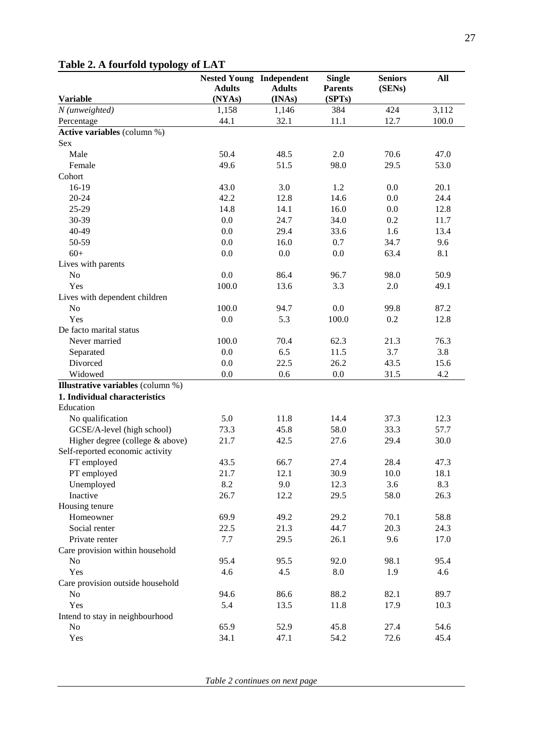|                                          | <b>Nested Young Independent</b> |               | <b>Single</b>  | <b>Seniors</b> | All   |
|------------------------------------------|---------------------------------|---------------|----------------|----------------|-------|
|                                          | <b>Adults</b>                   | <b>Adults</b> | <b>Parents</b> | (SENs)         |       |
| <b>Variable</b>                          | (NYAs)                          | (INAs)        | (SPTs)         |                |       |
| N (unweighted)                           | 1,158                           | 1,146         | 384            | 424            | 3,112 |
| Percentage                               | 44.1                            | 32.1          | 11.1           | 12.7           | 100.0 |
| Active variables (column %)              |                                 |               |                |                |       |
| Sex                                      |                                 |               |                |                |       |
| Male                                     | 50.4                            | 48.5          | 2.0            | 70.6           | 47.0  |
| Female                                   | 49.6                            | 51.5          | 98.0           | 29.5           | 53.0  |
| Cohort                                   |                                 |               |                |                |       |
| 16-19                                    | 43.0                            | 3.0           | 1.2            | 0.0            | 20.1  |
| $20 - 24$                                | 42.2                            | 12.8          | 14.6           | 0.0            | 24.4  |
| $25-29$                                  | 14.8                            | 14.1          | 16.0           | 0.0            | 12.8  |
| 30-39                                    | 0.0                             | 24.7          | 34.0           | 0.2            | 11.7  |
| 40-49                                    | 0.0                             | 29.4          | 33.6           | 1.6            | 13.4  |
| 50-59                                    | 0.0                             | 16.0          | 0.7            | 34.7           | 9.6   |
| $60+$                                    | 0.0                             | 0.0           | 0.0            | 63.4           | 8.1   |
| Lives with parents                       |                                 |               |                |                |       |
| No                                       | 0.0                             | 86.4          | 96.7           | 98.0           | 50.9  |
| Yes                                      | 100.0                           | 13.6          | 3.3            | 2.0            | 49.1  |
| Lives with dependent children            |                                 |               |                |                |       |
| No                                       | 100.0                           | 94.7          | 0.0            | 99.8           | 87.2  |
| Yes                                      | 0.0                             | 5.3           | 100.0          | 0.2            | 12.8  |
| De facto marital status                  |                                 |               |                |                |       |
| Never married                            | 100.0                           | 70.4          | 62.3           | 21.3           | 76.3  |
| Separated                                | 0.0                             | 6.5           | 11.5           | 3.7            | 3.8   |
| Divorced                                 | 0.0                             | 22.5          | 26.2           | 43.5           | 15.6  |
| Widowed                                  | 0.0                             | 0.6           | 0.0            | 31.5           | 4.2   |
| <b>Illustrative variables</b> (column %) |                                 |               |                |                |       |
| 1. Individual characteristics            |                                 |               |                |                |       |
| Education                                |                                 |               |                |                |       |
| No qualification                         | 5.0                             | 11.8          | 14.4           | 37.3           | 12.3  |
| GCSE/A-level (high school)               | 73.3                            | 45.8          | 58.0           | 33.3           | 57.7  |
| Higher degree (college & above)          | 21.7                            | 42.5          | 27.6           | 29.4           | 30.0  |
| Self-reported economic activity          |                                 |               |                |                |       |
| FT employed                              | 43.5                            | 66.7          | 27.4           | 28.4           | 47.3  |
| PT employed                              | 21.7                            | 12.1          | 30.9           | 10.0           | 18.1  |
| Unemployed                               | 8.2                             | 9.0           | 12.3           | 3.6            | 8.3   |
| Inactive                                 | 26.7                            | 12.2          | 29.5           | 58.0           | 26.3  |
| Housing tenure                           |                                 |               |                |                |       |
| Homeowner                                | 69.9                            | 49.2          | 29.2           | 70.1           | 58.8  |
| Social renter                            | 22.5                            | 21.3          | 44.7           | 20.3           | 24.3  |
| Private renter                           | 7.7                             | 29.5          | 26.1           | 9.6            | 17.0  |
| Care provision within household          |                                 |               |                |                |       |
| $\rm No$                                 | 95.4                            | 95.5          | 92.0           | 98.1           | 95.4  |
| Yes                                      | 4.6                             | 4.5           | 8.0            | 1.9            | 4.6   |
| Care provision outside household         |                                 |               |                |                |       |
| $\rm No$                                 | 94.6                            | 86.6          | 88.2           | 82.1           | 89.7  |
| Yes                                      | 5.4                             | 13.5          | 11.8           | 17.9           | 10.3  |
| Intend to stay in neighbourhood          |                                 |               |                |                |       |
| N <sub>0</sub>                           | 65.9                            | 52.9          | 45.8           | 27.4           | 54.6  |
| Yes                                      | 34.1                            | 47.1          | 54.2           | 72.6           | 45.4  |

## **Table 2. A fourfold typology of LAT**

*Table 2 continues on next page*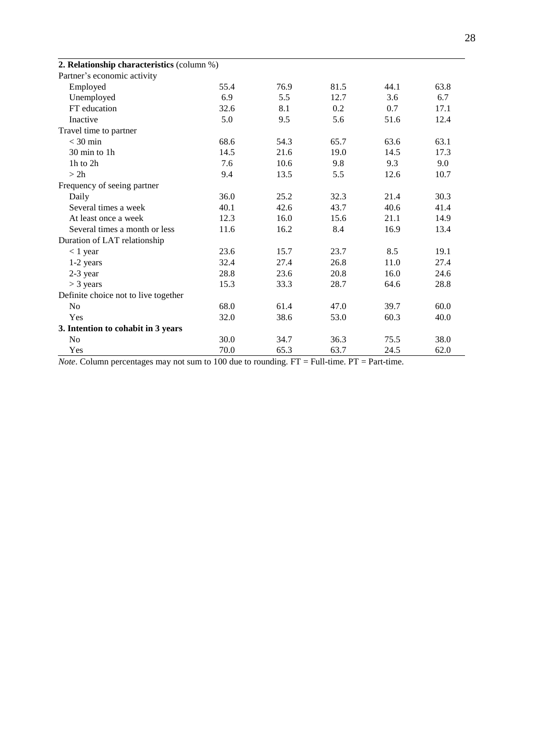| 2. Relationship characteristics (column %) |      |      |      |      |      |
|--------------------------------------------|------|------|------|------|------|
| Partner's economic activity                |      |      |      |      |      |
| Employed                                   | 55.4 | 76.9 | 81.5 | 44.1 | 63.8 |
| Unemployed                                 | 6.9  | 5.5  | 12.7 | 3.6  | 6.7  |
| FT education                               | 32.6 | 8.1  | 0.2  | 0.7  | 17.1 |
| Inactive                                   | 5.0  | 9.5  | 5.6  | 51.6 | 12.4 |
| Travel time to partner                     |      |      |      |      |      |
| $<$ 30 min                                 | 68.6 | 54.3 | 65.7 | 63.6 | 63.1 |
| 30 min to 1h                               | 14.5 | 21.6 | 19.0 | 14.5 | 17.3 |
| 1h to 2h                                   | 7.6  | 10.6 | 9.8  | 9.3  | 9.0  |
| > 2h                                       | 9.4  | 13.5 | 5.5  | 12.6 | 10.7 |
| Frequency of seeing partner                |      |      |      |      |      |
| Daily                                      | 36.0 | 25.2 | 32.3 | 21.4 | 30.3 |
| Several times a week                       | 40.1 | 42.6 | 43.7 | 40.6 | 41.4 |
| At least once a week                       | 12.3 | 16.0 | 15.6 | 21.1 | 14.9 |
| Several times a month or less              | 11.6 | 16.2 | 8.4  | 16.9 | 13.4 |
| Duration of LAT relationship               |      |      |      |      |      |
| $<$ 1 year                                 | 23.6 | 15.7 | 23.7 | 8.5  | 19.1 |
| 1-2 years                                  | 32.4 | 27.4 | 26.8 | 11.0 | 27.4 |
| $2-3$ year                                 | 28.8 | 23.6 | 20.8 | 16.0 | 24.6 |
| $>$ 3 years                                | 15.3 | 33.3 | 28.7 | 64.6 | 28.8 |
| Definite choice not to live together       |      |      |      |      |      |
| N <sub>o</sub>                             | 68.0 | 61.4 | 47.0 | 39.7 | 60.0 |
| Yes                                        | 32.0 | 38.6 | 53.0 | 60.3 | 40.0 |
| 3. Intention to cohabit in 3 years         |      |      |      |      |      |
| N <sub>o</sub>                             | 30.0 | 34.7 | 36.3 | 75.5 | 38.0 |
| Yes                                        | 70.0 | 65.3 | 63.7 | 24.5 | 62.0 |

*Note*. Column percentages may not sum to 100 due to rounding. FT = Full-time. PT = Part-time.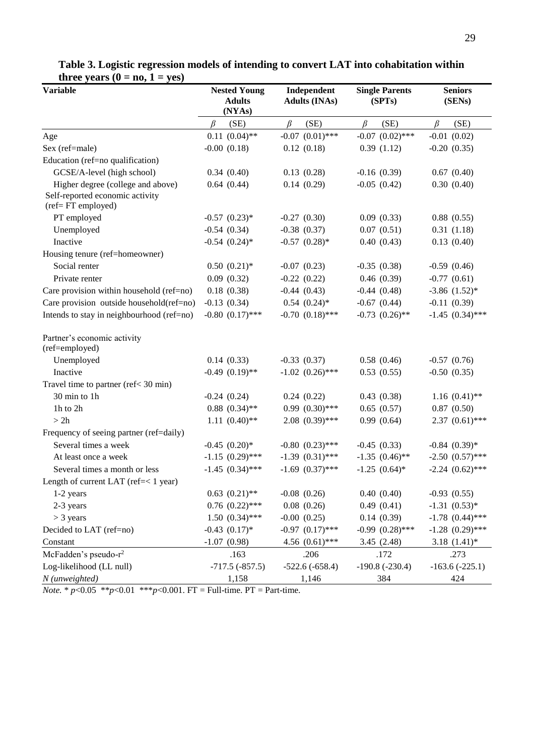| <b>Variable</b>                                      | <b>Nested Young</b><br><b>Adults</b><br>(NYAs) | Independent<br><b>Adults (INAs)</b> | <b>Single Parents</b><br>(SPTs) | <b>Seniors</b><br>(SENs) |  |  |
|------------------------------------------------------|------------------------------------------------|-------------------------------------|---------------------------------|--------------------------|--|--|
|                                                      | (SE)<br>$\beta$                                | $\beta$<br>(SE)                     | $\beta$<br>(SE)                 | $\beta$<br>(SE)          |  |  |
| Age                                                  | $0.11(0.04)$ **                                | $-0.07$ $(0.01)$ ***                | $-0.07$ $(0.02)$ ***            | $-0.01$ $(0.02)$         |  |  |
| Sex (ref=male)                                       | $-0.00$ $(0.18)$                               | 0.12(0.18)                          | 0.39(1.12)                      | $-0.20(0.35)$            |  |  |
| Education (ref=no qualification)                     |                                                |                                     |                                 |                          |  |  |
| GCSE/A-level (high school)                           | 0.34(0.40)                                     | 0.13(0.28)                          | $-0.16(0.39)$                   | 0.67(0.40)               |  |  |
| Higher degree (college and above)                    | 0.64(0.44)                                     | 0.14(0.29)                          | $-0.05(0.42)$                   | 0.30(0.40)               |  |  |
| Self-reported economic activity<br>(ref=FT employed) |                                                |                                     |                                 |                          |  |  |
| PT employed                                          | $-0.57$ $(0.23)*$                              | $-0.27(0.30)$                       | 0.09(0.33)                      | 0.88(0.55)               |  |  |
| Unemployed                                           | $-0.54(0.34)$                                  | $-0.38$ $(0.37)$                    | 0.07(0.51)                      | 0.31(1.18)               |  |  |
| Inactive                                             | $-0.54$ $(0.24)$ *                             | $-0.57$ $(0.28)$ *                  | 0.40(0.43)                      | 0.13(0.40)               |  |  |
| Housing tenure (ref=homeowner)                       |                                                |                                     |                                 |                          |  |  |
| Social renter                                        | $0.50(0.21)$ *                                 | $-0.07$ $(0.23)$                    | $-0.35(0.38)$                   | $-0.59(0.46)$            |  |  |
| Private renter                                       | 0.09(0.32)                                     | $-0.22(0.22)$                       | 0.46(0.39)                      | $-0.77(0.61)$            |  |  |
| Care provision within household (ref=no)             | 0.18(0.38)                                     | $-0.44(0.43)$                       | $-0.44(0.48)$                   | $-3.86$ $(1.52)$ *       |  |  |
| Care provision outside household(ref=no)             | $-0.13(0.34)$                                  | $0.54$ $(0.24)$ <sup>*</sup>        | $-0.67$ $(0.44)$                | $-0.11(0.39)$            |  |  |
| Intends to stay in neighbourhood (ref=no)            | $-0.80$ $(0.17)$ ***                           | $-0.70$ $(0.18)$ ***                | $-0.73$ $(0.26)$ **             | $-1.45$ $(0.34)$ ***     |  |  |
| Partner's economic activity<br>(ref=employed)        |                                                |                                     |                                 |                          |  |  |
| Unemployed                                           | 0.14(0.33)                                     | $-0.33(0.37)$                       | 0.58(0.46)                      | $-0.57(0.76)$            |  |  |
| Inactive                                             | $-0.49$ $(0.19)$ **                            | $-1.02$ $(0.26)$ ***                | 0.53(0.55)                      | $-0.50(0.35)$            |  |  |
| Travel time to partner (ref< 30 min)                 |                                                |                                     |                                 |                          |  |  |
| 30 min to 1h                                         | $-0.24(0.24)$                                  | 0.24(0.22)                          | 0.43(0.38)                      | $1.16(0.41)$ **          |  |  |
| 1h to 2h                                             | $0.88$ $(0.34)$ **                             | $0.99(0.30)$ ***                    | 0.65(0.57)                      | 0.87(0.50)               |  |  |
| > 2h                                                 | $1.11 (0.40)$ **                               | $2.08$ $(0.39)$ ***                 | 0.99(0.64)                      | $2.37(0.61)$ ***         |  |  |
| Frequency of seeing partner (ref=daily)              |                                                |                                     |                                 |                          |  |  |
| Several times a week                                 | $-0.45$ $(0.20)$ *                             | $-0.80$ $(0.23)$ ***                | $-0.45(0.33)$                   | $-0.84$ $(0.39)*$        |  |  |
| At least once a week                                 | $-1.15$ $(0.29)$ ***                           | $-1.39$ $(0.31)$ ***                | $-1.35$ $(0.46)$ **             | $-2.50$ $(0.57)$ ***     |  |  |
| Several times a month or less                        | $-1.45$ $(0.34)$ ***                           | $-1.69$ $(0.37)$ ***                | $-1.25$ $(0.64)$ *              | $-2.24$ $(0.62)$ ***     |  |  |
| Length of current LAT (ref=< 1 year)                 |                                                |                                     |                                 |                          |  |  |
| 1-2 years                                            | $0.63$ $(0.21)$ **                             | $-0.08$ $(0.26)$                    | 0.40(0.40)                      | $-0.93(0.55)$            |  |  |
| 2-3 years                                            | $0.76$ $(0.22)$ ***                            | 0.08(0.26)                          | 0.49(0.41)                      | $-1.31(0.53)*$           |  |  |
| $>$ 3 years                                          | $1.50(0.34)$ ***                               | $-0.00$ $(0.25)$                    | 0.14(0.39)                      | $-1.78$ $(0.44)$ ***     |  |  |
| Decided to LAT (ref=no)                              | $-0.43$ $(0.17)$ *                             | $-0.97$ $(0.17)$ ***                | $-0.99$ $(0.28)$ ***            | $-1.28$ $(0.29)$ ***     |  |  |
| Constant                                             | $-1.07(0.98)$                                  | 4.56 $(0.61)$ ***                   | 3.45(2.48)                      | $3.18(1.41)$ *           |  |  |
| McFadden's pseudo-r <sup>2</sup>                     | .163                                           | .206                                | .172                            | .273                     |  |  |
| Log-likelihood (LL null)                             | $-717.5(-857.5)$                               | $-522.6(-658.4)$                    | $-190.8$ $(-230.4)$             | $-163.6(-225.1)$         |  |  |
| N (unweighted)                                       | 1,158                                          | 1,146                               | 384                             | 424                      |  |  |

## **Table 3. Logistic regression models of intending to convert LAT into cohabitation within three years**  $(0 = no, 1 = yes)$

*Note.* \* *p*<0.05 \*\**p*<0.01 \*\*\**p*<0.001. FT = Full-time. PT = Part-time.